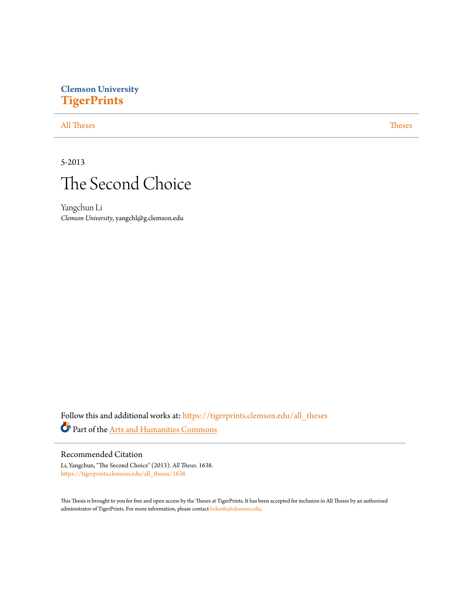# **Clemson University [TigerPrints](https://tigerprints.clemson.edu?utm_source=tigerprints.clemson.edu%2Fall_theses%2F1638&utm_medium=PDF&utm_campaign=PDFCoverPages)**

### [All Theses](https://tigerprints.clemson.edu/all_theses?utm_source=tigerprints.clemson.edu%2Fall_theses%2F1638&utm_medium=PDF&utm_campaign=PDFCoverPages) **[Theses](https://tigerprints.clemson.edu/theses?utm_source=tigerprints.clemson.edu%2Fall_theses%2F1638&utm_medium=PDF&utm_campaign=PDFCoverPages)**

## 5-2013



Yangchun Li *Clemson University*, yangchl@g.clemson.edu

Follow this and additional works at: [https://tigerprints.clemson.edu/all\\_theses](https://tigerprints.clemson.edu/all_theses?utm_source=tigerprints.clemson.edu%2Fall_theses%2F1638&utm_medium=PDF&utm_campaign=PDFCoverPages) Part of the [Arts and Humanities Commons](http://network.bepress.com/hgg/discipline/438?utm_source=tigerprints.clemson.edu%2Fall_theses%2F1638&utm_medium=PDF&utm_campaign=PDFCoverPages)

#### Recommended Citation

Li, Yangchun, "The Second Choice" (2013). *All Theses*. 1638. [https://tigerprints.clemson.edu/all\\_theses/1638](https://tigerprints.clemson.edu/all_theses/1638?utm_source=tigerprints.clemson.edu%2Fall_theses%2F1638&utm_medium=PDF&utm_campaign=PDFCoverPages)

This Thesis is brought to you for free and open access by the Theses at TigerPrints. It has been accepted for inclusion in All Theses by an authorized administrator of TigerPrints. For more information, please contact [kokeefe@clemson.edu](mailto:kokeefe@clemson.edu).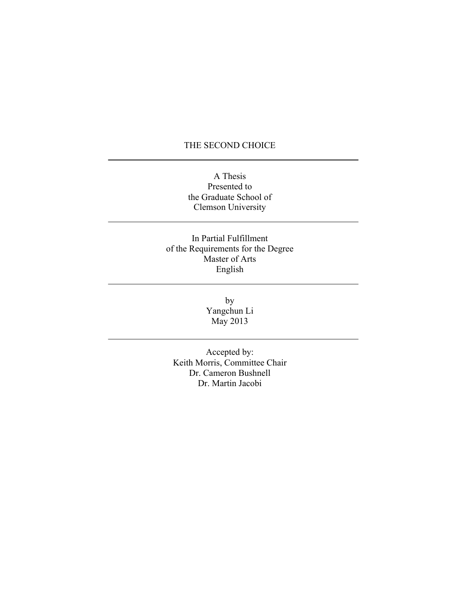## THE SECOND CHOICE

A Thesis Presented to the Graduate School of Clemson University

In Partial Fulfillment of the Requirements for the Degree Master of Arts English

> by Yangchun Li May 2013

Accepted by: Keith Morris, Committee Chair Dr. Cameron Bushnell Dr. Martin Jacobi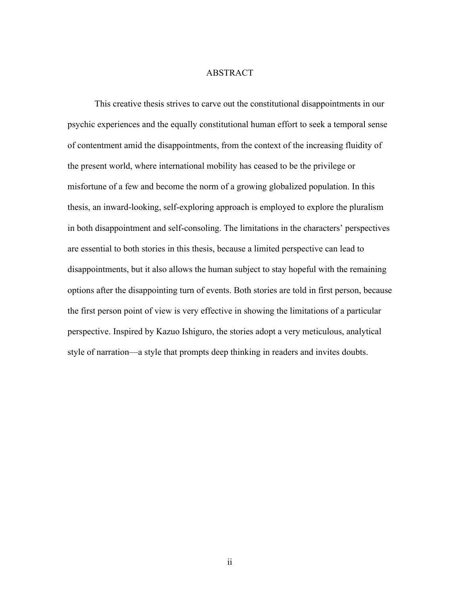#### ABSTRACT

This creative thesis strives to carve out the constitutional disappointments in our psychic experiences and the equally constitutional human effort to seek a temporal sense of contentment amid the disappointments, from the context of the increasing fluidity of the present world, where international mobility has ceased to be the privilege or misfortune of a few and become the norm of a growing globalized population. In this thesis, an inward-looking, self-exploring approach is employed to explore the pluralism in both disappointment and self-consoling. The limitations in the characters' perspectives are essential to both stories in this thesis, because a limited perspective can lead to disappointments, but it also allows the human subject to stay hopeful with the remaining options after the disappointing turn of events. Both stories are told in first person, because the first person point of view is very effective in showing the limitations of a particular perspective. Inspired by Kazuo Ishiguro, the stories adopt a very meticulous, analytical style of narration—a style that prompts deep thinking in readers and invites doubts.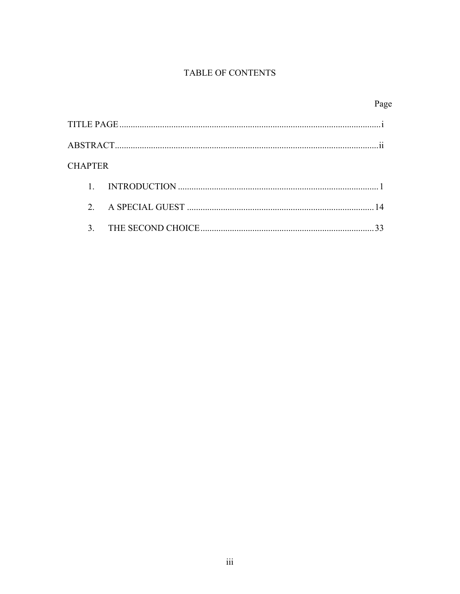## TABLE OF CONTENTS

|                |               |  | Page          |
|----------------|---------------|--|---------------|
|                |               |  |               |
|                |               |  | $\cdot \cdot$ |
| <b>CHAPTER</b> |               |  |               |
|                |               |  |               |
|                | $\mathcal{D}$ |  |               |
|                | 3             |  |               |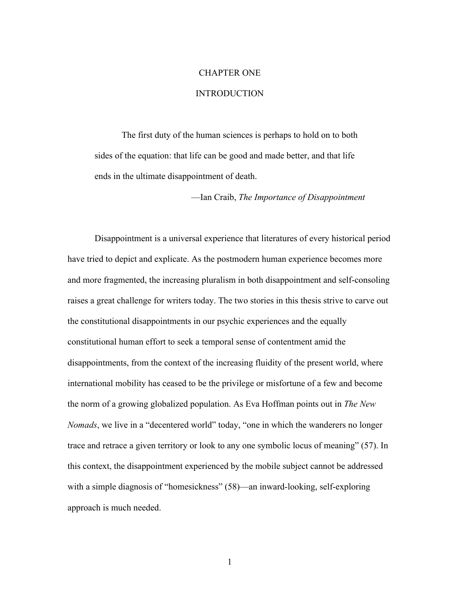## CHAPTER ONE

#### INTRODUCTION

The first duty of the human sciences is perhaps to hold on to both sides of the equation: that life can be good and made better, and that life ends in the ultimate disappointment of death.

—Ian Craib, *The Importance of Disappointment*

Disappointment is a universal experience that literatures of every historical period have tried to depict and explicate. As the postmodern human experience becomes more and more fragmented, the increasing pluralism in both disappointment and self-consoling raises a great challenge for writers today. The two stories in this thesis strive to carve out the constitutional disappointments in our psychic experiences and the equally constitutional human effort to seek a temporal sense of contentment amid the disappointments, from the context of the increasing fluidity of the present world, where international mobility has ceased to be the privilege or misfortune of a few and become the norm of a growing globalized population. As Eva Hoffman points out in *The New Nomads*, we live in a "decentered world" today, "one in which the wanderers no longer trace and retrace a given territory or look to any one symbolic locus of meaning" (57). In this context, the disappointment experienced by the mobile subject cannot be addressed with a simple diagnosis of "homesickness" (58)—an inward-looking, self-exploring approach is much needed.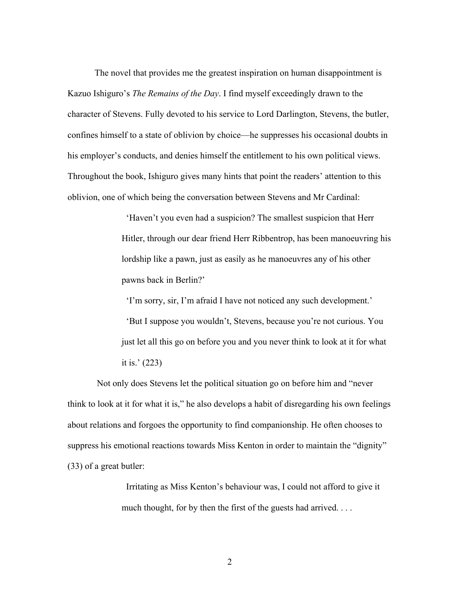The novel that provides me the greatest inspiration on human disappointment is Kazuo Ishiguro's *The Remains of the Day*. I find myself exceedingly drawn to the character of Stevens. Fully devoted to his service to Lord Darlington, Stevens, the butler, confines himself to a state of oblivion by choice—he suppresses his occasional doubts in his employer's conducts, and denies himself the entitlement to his own political views. Throughout the book, Ishiguro gives many hints that point the readers' attention to this oblivion, one of which being the conversation between Stevens and Mr Cardinal:

> 'Haven't you even had a suspicion? The smallest suspicion that Herr Hitler, through our dear friend Herr Ribbentrop, has been manoeuvring his lordship like a pawn, just as easily as he manoeuvres any of his other pawns back in Berlin?'

 'I'm sorry, sir, I'm afraid I have not noticed any such development.' 'But I suppose you wouldn't, Stevens, because you're not curious. You just let all this go on before you and you never think to look at it for what it is.' (223)

Not only does Stevens let the political situation go on before him and "never think to look at it for what it is," he also develops a habit of disregarding his own feelings about relations and forgoes the opportunity to find companionship. He often chooses to suppress his emotional reactions towards Miss Kenton in order to maintain the "dignity" (33) of a great butler:

> Irritating as Miss Kenton's behaviour was, I could not afford to give it much thought, for by then the first of the guests had arrived...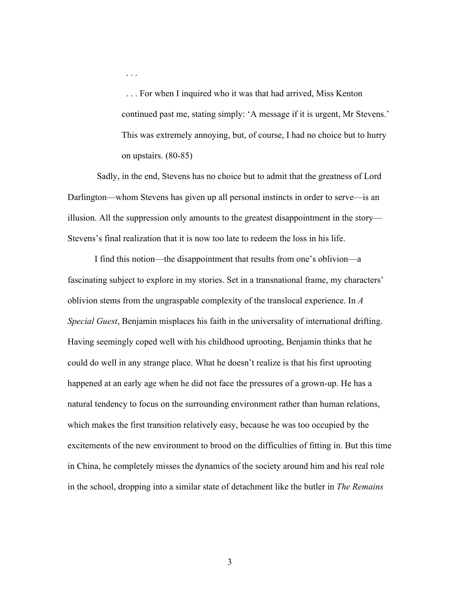. . . For when I inquired who it was that had arrived, Miss Kenton continued past me, stating simply: 'A message if it is urgent, Mr Stevens.' This was extremely annoying, but, of course, I had no choice but to hurry on upstairs. (80-85)

Sadly, in the end, Stevens has no choice but to admit that the greatness of Lord Darlington—whom Stevens has given up all personal instincts in order to serve—is an illusion. All the suppression only amounts to the greatest disappointment in the story— Stevens's final realization that it is now too late to redeem the loss in his life.

. . .

I find this notion—the disappointment that results from one's oblivion—a fascinating subject to explore in my stories. Set in a transnational frame, my characters' oblivion stems from the ungraspable complexity of the translocal experience. In *A Special Guest*, Benjamin misplaces his faith in the universality of international drifting. Having seemingly coped well with his childhood uprooting, Benjamin thinks that he could do well in any strange place. What he doesn't realize is that his first uprooting happened at an early age when he did not face the pressures of a grown-up. He has a natural tendency to focus on the surrounding environment rather than human relations, which makes the first transition relatively easy, because he was too occupied by the excitements of the new environment to brood on the difficulties of fitting in. But this time in China, he completely misses the dynamics of the society around him and his real role in the school, dropping into a similar state of detachment like the butler in *The Remains*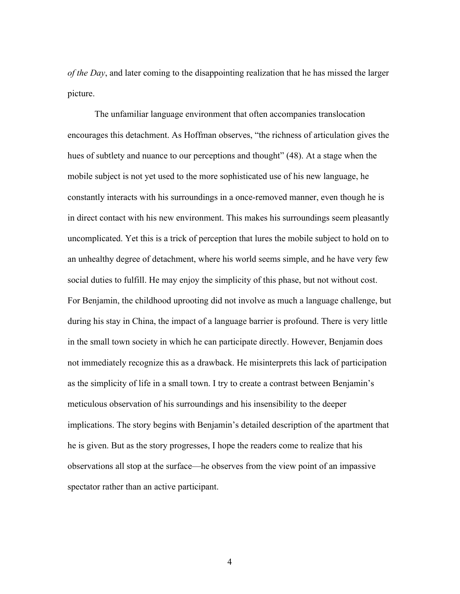*of the Day*, and later coming to the disappointing realization that he has missed the larger picture.

The unfamiliar language environment that often accompanies translocation encourages this detachment. As Hoffman observes, "the richness of articulation gives the hues of subtlety and nuance to our perceptions and thought" (48). At a stage when the mobile subject is not yet used to the more sophisticated use of his new language, he constantly interacts with his surroundings in a once-removed manner, even though he is in direct contact with his new environment. This makes his surroundings seem pleasantly uncomplicated. Yet this is a trick of perception that lures the mobile subject to hold on to an unhealthy degree of detachment, where his world seems simple, and he have very few social duties to fulfill. He may enjoy the simplicity of this phase, but not without cost. For Benjamin, the childhood uprooting did not involve as much a language challenge, but during his stay in China, the impact of a language barrier is profound. There is very little in the small town society in which he can participate directly. However, Benjamin does not immediately recognize this as a drawback. He misinterprets this lack of participation as the simplicity of life in a small town. I try to create a contrast between Benjamin's meticulous observation of his surroundings and his insensibility to the deeper implications. The story begins with Benjamin's detailed description of the apartment that he is given. But as the story progresses, I hope the readers come to realize that his observations all stop at the surface—he observes from the view point of an impassive spectator rather than an active participant.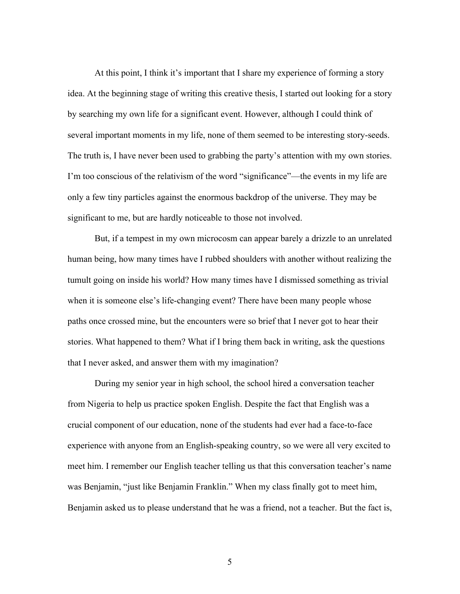At this point, I think it's important that I share my experience of forming a story idea. At the beginning stage of writing this creative thesis, I started out looking for a story by searching my own life for a significant event. However, although I could think of several important moments in my life, none of them seemed to be interesting story-seeds. The truth is, I have never been used to grabbing the party's attention with my own stories. I'm too conscious of the relativism of the word "significance"—the events in my life are only a few tiny particles against the enormous backdrop of the universe. They may be significant to me, but are hardly noticeable to those not involved.

But, if a tempest in my own microcosm can appear barely a drizzle to an unrelated human being, how many times have I rubbed shoulders with another without realizing the tumult going on inside his world? How many times have I dismissed something as trivial when it is someone else's life-changing event? There have been many people whose paths once crossed mine, but the encounters were so brief that I never got to hear their stories. What happened to them? What if I bring them back in writing, ask the questions that I never asked, and answer them with my imagination?

During my senior year in high school, the school hired a conversation teacher from Nigeria to help us practice spoken English. Despite the fact that English was a crucial component of our education, none of the students had ever had a face-to-face experience with anyone from an English-speaking country, so we were all very excited to meet him. I remember our English teacher telling us that this conversation teacher's name was Benjamin, "just like Benjamin Franklin." When my class finally got to meet him, Benjamin asked us to please understand that he was a friend, not a teacher. But the fact is,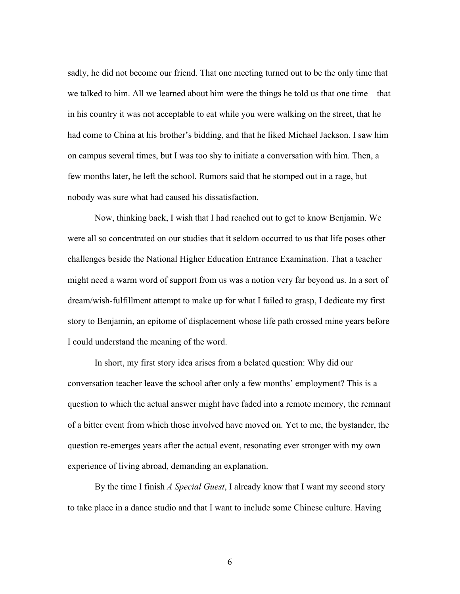sadly, he did not become our friend. That one meeting turned out to be the only time that we talked to him. All we learned about him were the things he told us that one time—that in his country it was not acceptable to eat while you were walking on the street, that he had come to China at his brother's bidding, and that he liked Michael Jackson. I saw him on campus several times, but I was too shy to initiate a conversation with him. Then, a few months later, he left the school. Rumors said that he stomped out in a rage, but nobody was sure what had caused his dissatisfaction.

Now, thinking back, I wish that I had reached out to get to know Benjamin. We were all so concentrated on our studies that it seldom occurred to us that life poses other challenges beside the National Higher Education Entrance Examination. That a teacher might need a warm word of support from us was a notion very far beyond us. In a sort of dream/wish-fulfillment attempt to make up for what I failed to grasp, I dedicate my first story to Benjamin, an epitome of displacement whose life path crossed mine years before I could understand the meaning of the word.

In short, my first story idea arises from a belated question: Why did our conversation teacher leave the school after only a few months' employment? This is a question to which the actual answer might have faded into a remote memory, the remnant of a bitter event from which those involved have moved on. Yet to me, the bystander, the question re-emerges years after the actual event, resonating ever stronger with my own experience of living abroad, demanding an explanation.

By the time I finish *A Special Guest*, I already know that I want my second story to take place in a dance studio and that I want to include some Chinese culture. Having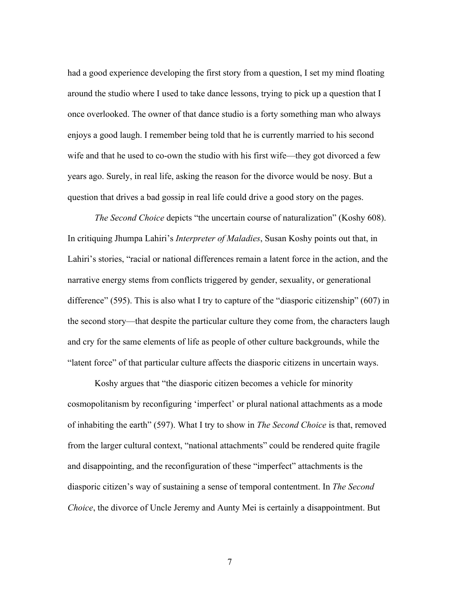had a good experience developing the first story from a question, I set my mind floating around the studio where I used to take dance lessons, trying to pick up a question that I once overlooked. The owner of that dance studio is a forty something man who always enjoys a good laugh. I remember being told that he is currently married to his second wife and that he used to co-own the studio with his first wife—they got divorced a few years ago. Surely, in real life, asking the reason for the divorce would be nosy. But a question that drives a bad gossip in real life could drive a good story on the pages.

*The Second Choice* depicts "the uncertain course of naturalization" (Koshy 608). In critiquing Jhumpa Lahiri's *Interpreter of Maladies*, Susan Koshy points out that, in Lahiri's stories, "racial or national differences remain a latent force in the action, and the narrative energy stems from conflicts triggered by gender, sexuality, or generational difference" (595). This is also what I try to capture of the "diasporic citizenship" (607) in the second story—that despite the particular culture they come from, the characters laugh and cry for the same elements of life as people of other culture backgrounds, while the "latent force" of that particular culture affects the diasporic citizens in uncertain ways.

Koshy argues that "the diasporic citizen becomes a vehicle for minority cosmopolitanism by reconfiguring 'imperfect' or plural national attachments as a mode of inhabiting the earth" (597). What I try to show in *The Second Choice* is that, removed from the larger cultural context, "national attachments" could be rendered quite fragile and disappointing, and the reconfiguration of these "imperfect" attachments is the diasporic citizen's way of sustaining a sense of temporal contentment. In *The Second Choice*, the divorce of Uncle Jeremy and Aunty Mei is certainly a disappointment. But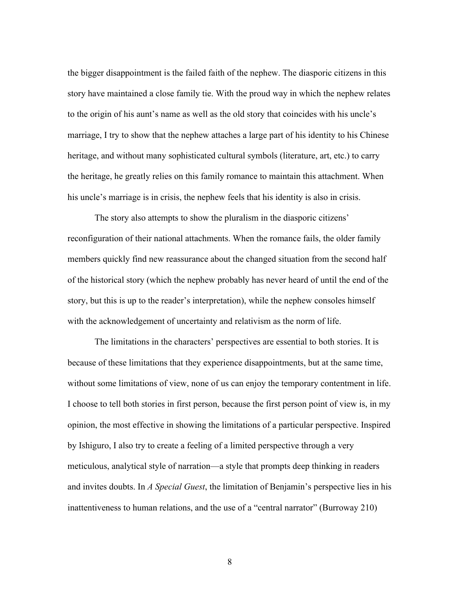the bigger disappointment is the failed faith of the nephew. The diasporic citizens in this story have maintained a close family tie. With the proud way in which the nephew relates to the origin of his aunt's name as well as the old story that coincides with his uncle's marriage, I try to show that the nephew attaches a large part of his identity to his Chinese heritage, and without many sophisticated cultural symbols (literature, art, etc.) to carry the heritage, he greatly relies on this family romance to maintain this attachment. When his uncle's marriage is in crisis, the nephew feels that his identity is also in crisis.

The story also attempts to show the pluralism in the diasporic citizens' reconfiguration of their national attachments. When the romance fails, the older family members quickly find new reassurance about the changed situation from the second half of the historical story (which the nephew probably has never heard of until the end of the story, but this is up to the reader's interpretation), while the nephew consoles himself with the acknowledgement of uncertainty and relativism as the norm of life.

The limitations in the characters' perspectives are essential to both stories. It is because of these limitations that they experience disappointments, but at the same time, without some limitations of view, none of us can enjoy the temporary contentment in life. I choose to tell both stories in first person, because the first person point of view is, in my opinion, the most effective in showing the limitations of a particular perspective. Inspired by Ishiguro, I also try to create a feeling of a limited perspective through a very meticulous, analytical style of narration—a style that prompts deep thinking in readers and invites doubts. In *A Special Guest*, the limitation of Benjamin's perspective lies in his inattentiveness to human relations, and the use of a "central narrator" (Burroway 210)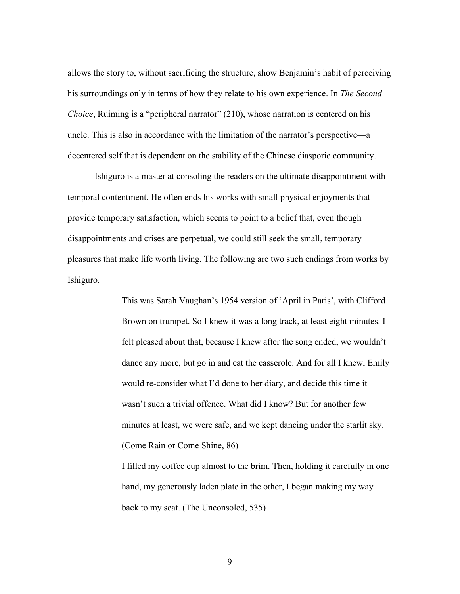allows the story to, without sacrificing the structure, show Benjamin's habit of perceiving his surroundings only in terms of how they relate to his own experience. In *The Second Choice*, Ruiming is a "peripheral narrator" (210), whose narration is centered on his uncle. This is also in accordance with the limitation of the narrator's perspective—a decentered self that is dependent on the stability of the Chinese diasporic community.

Ishiguro is a master at consoling the readers on the ultimate disappointment with temporal contentment. He often ends his works with small physical enjoyments that provide temporary satisfaction, which seems to point to a belief that, even though disappointments and crises are perpetual, we could still seek the small, temporary pleasures that make life worth living. The following are two such endings from works by Ishiguro.

> This was Sarah Vaughan's 1954 version of 'April in Paris', with Clifford Brown on trumpet. So I knew it was a long track, at least eight minutes. I felt pleased about that, because I knew after the song ended, we wouldn't dance any more, but go in and eat the casserole. And for all I knew, Emily would re-consider what I'd done to her diary, and decide this time it wasn't such a trivial offence. What did I know? But for another few minutes at least, we were safe, and we kept dancing under the starlit sky. (Come Rain or Come Shine, 86)

> I filled my coffee cup almost to the brim. Then, holding it carefully in one hand, my generously laden plate in the other, I began making my way back to my seat. (The Unconsoled, 535)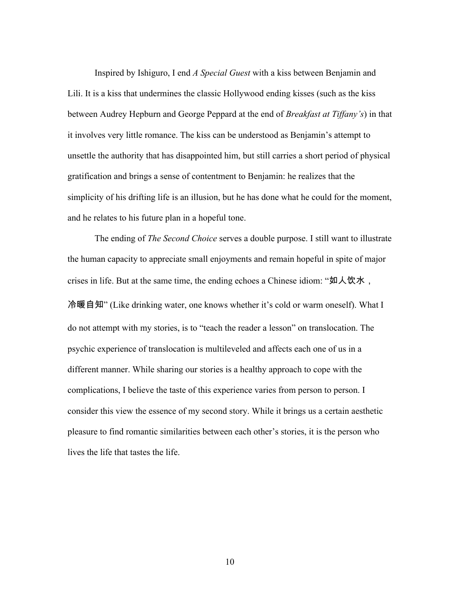Inspired by Ishiguro, I end *A Special Guest* with a kiss between Benjamin and Lili. It is a kiss that undermines the classic Hollywood ending kisses (such as the kiss between Audrey Hepburn and George Peppard at the end of *Breakfast at Tiffany's*) in that it involves very little romance. The kiss can be understood as Benjamin's attempt to unsettle the authority that has disappointed him, but still carries a short period of physical gratification and brings a sense of contentment to Benjamin: he realizes that the simplicity of his drifting life is an illusion, but he has done what he could for the moment, and he relates to his future plan in a hopeful tone.

The ending of *The Second Choice* serves a double purpose. I still want to illustrate the human capacity to appreciate small enjoyments and remain hopeful in spite of major crises in life. But at the same time, the ending echoes a Chinese idiom: "如人饮水, 冷暖自知" (Like drinking water, one knows whether it's cold or warm oneself). What I do not attempt with my stories, is to "teach the reader a lesson" on translocation. The psychic experience of translocation is multileveled and affects each one of us in a different manner. While sharing our stories is a healthy approach to cope with the complications, I believe the taste of this experience varies from person to person. I consider this view the essence of my second story. While it brings us a certain aesthetic pleasure to find romantic similarities between each other's stories, it is the person who lives the life that tastes the life.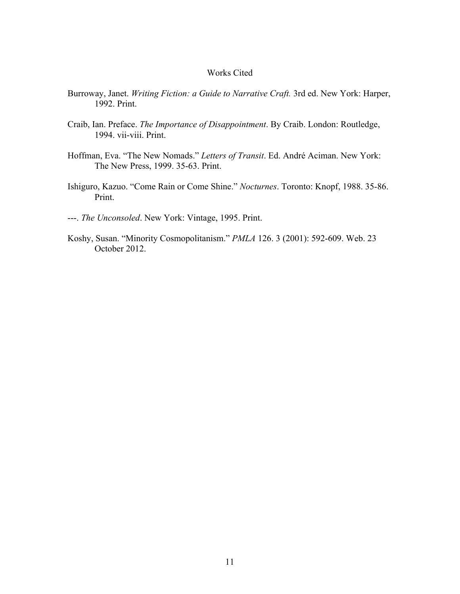#### Works Cited

- Burroway, Janet. *Writing Fiction: a Guide to Narrative Craft.* 3rd ed. New York: Harper, 1992. Print.
- Craib, Ian. Preface. *The Importance of Disappointment*. By Craib. London: Routledge, 1994. vii-viii. Print.
- Hoffman, Eva. "The New Nomads." *Letters of Transit*. Ed. André Aciman. New York: The New Press, 1999. 35-63. Print.
- Ishiguro, Kazuo. "Come Rain or Come Shine." *Nocturnes*. Toronto: Knopf, 1988. 35-86. Print.
- ---. *The Unconsoled*. New York: Vintage, 1995. Print.
- Koshy, Susan. "Minority Cosmopolitanism." *PMLA* 126. 3 (2001): 592-609. Web. 23 October 2012.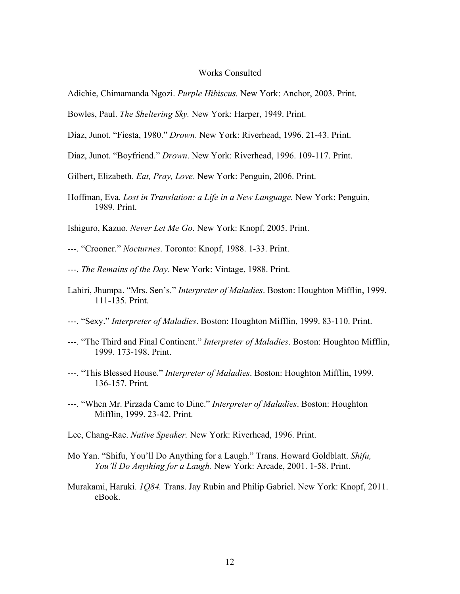#### Works Consulted

- Adichie, Chimamanda Ngozi. *Purple Hibiscus.* New York: Anchor, 2003. Print.
- Bowles, Paul. *The Sheltering Sky.* New York: Harper, 1949. Print.
- Díaz, Junot. "Fiesta, 1980." *Drown*. New York: Riverhead, 1996. 21-43. Print.
- Díaz, Junot. "Boyfriend." *Drown*. New York: Riverhead, 1996. 109-117. Print.
- Gilbert, Elizabeth. *Eat, Pray, Love*. New York: Penguin, 2006. Print.
- Hoffman, Eva. *Lost in Translation: a Life in a New Language.* New York: Penguin, 1989. Print.
- Ishiguro, Kazuo. *Never Let Me Go*. New York: Knopf, 2005. Print.
- ---. "Crooner." *Nocturnes*. Toronto: Knopf, 1988. 1-33. Print.
- ---. *The Remains of the Day*. New York: Vintage, 1988. Print.
- Lahiri, Jhumpa. "Mrs. Sen's." *Interpreter of Maladies*. Boston: Houghton Mifflin, 1999. 111-135. Print.
- ---. "Sexy." *Interpreter of Maladies*. Boston: Houghton Mifflin, 1999. 83-110. Print.
- ---. "The Third and Final Continent." *Interpreter of Maladies*. Boston: Houghton Mifflin, 1999. 173-198. Print.
- ---. "This Blessed House." *Interpreter of Maladies*. Boston: Houghton Mifflin, 1999. 136-157. Print.
- ---. "When Mr. Pirzada Came to Dine." *Interpreter of Maladies*. Boston: Houghton Mifflin, 1999. 23-42. Print.
- Lee, Chang-Rae. *Native Speaker.* New York: Riverhead, 1996. Print.
- Mo Yan. "Shifu, You'll Do Anything for a Laugh." Trans. Howard Goldblatt. *Shifu, You'll Do Anything for a Laugh.* New York: Arcade, 2001. 1-58. Print.
- Murakami, Haruki. *1Q84.* Trans. Jay Rubin and Philip Gabriel. New York: Knopf, 2011. eBook.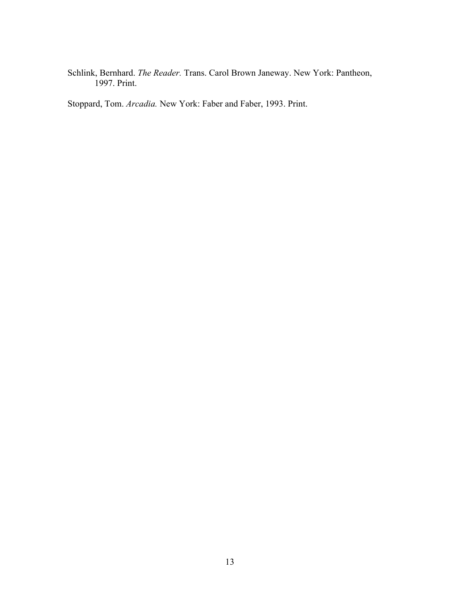Schlink, Bernhard. *The Reader.* Trans. Carol Brown Janeway. New York: Pantheon, 1997. Print.

Stoppard, Tom. *Arcadia.* New York: Faber and Faber, 1993. Print.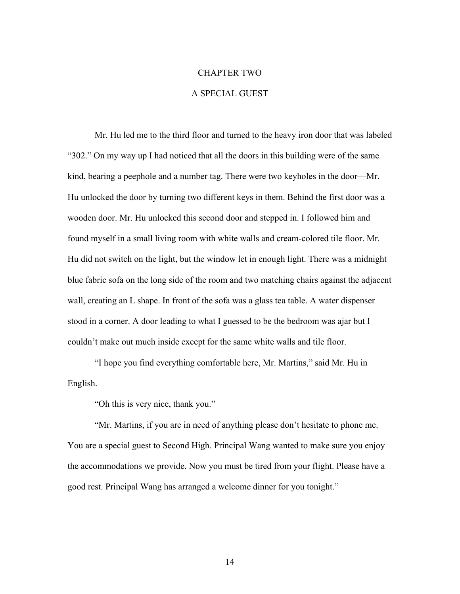## CHAPTER TWO

## A SPECIAL GUEST

Mr. Hu led me to the third floor and turned to the heavy iron door that was labeled "302." On my way up I had noticed that all the doors in this building were of the same kind, bearing a peephole and a number tag. There were two keyholes in the door—Mr. Hu unlocked the door by turning two different keys in them. Behind the first door was a wooden door. Mr. Hu unlocked this second door and stepped in. I followed him and found myself in a small living room with white walls and cream-colored tile floor. Mr. Hu did not switch on the light, but the window let in enough light. There was a midnight blue fabric sofa on the long side of the room and two matching chairs against the adjacent wall, creating an L shape. In front of the sofa was a glass tea table. A water dispenser stood in a corner. A door leading to what I guessed to be the bedroom was ajar but I couldn't make out much inside except for the same white walls and tile floor.

"I hope you find everything comfortable here, Mr. Martins," said Mr. Hu in English.

"Oh this is very nice, thank you."

"Mr. Martins, if you are in need of anything please don't hesitate to phone me. You are a special guest to Second High. Principal Wang wanted to make sure you enjoy the accommodations we provide. Now you must be tired from your flight. Please have a good rest. Principal Wang has arranged a welcome dinner for you tonight."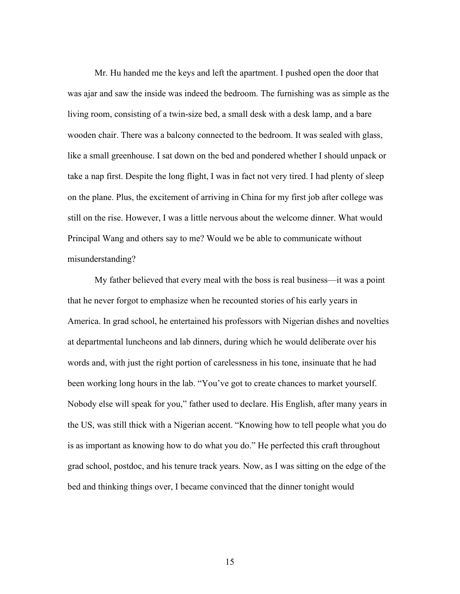Mr. Hu handed me the keys and left the apartment. I pushed open the door that was ajar and saw the inside was indeed the bedroom. The furnishing was as simple as the living room, consisting of a twin-size bed, a small desk with a desk lamp, and a bare wooden chair. There was a balcony connected to the bedroom. It was sealed with glass, like a small greenhouse. I sat down on the bed and pondered whether I should unpack or take a nap first. Despite the long flight, I was in fact not very tired. I had plenty of sleep on the plane. Plus, the excitement of arriving in China for my first job after college was still on the rise. However, I was a little nervous about the welcome dinner. What would Principal Wang and others say to me? Would we be able to communicate without misunderstanding?

My father believed that every meal with the boss is real business—it was a point that he never forgot to emphasize when he recounted stories of his early years in America. In grad school, he entertained his professors with Nigerian dishes and novelties at departmental luncheons and lab dinners, during which he would deliberate over his words and, with just the right portion of carelessness in his tone, insinuate that he had been working long hours in the lab. "You've got to create chances to market yourself. Nobody else will speak for you," father used to declare. His English, after many years in the US, was still thick with a Nigerian accent. "Knowing how to tell people what you do is as important as knowing how to do what you do." He perfected this craft throughout grad school, postdoc, and his tenure track years. Now, as I was sitting on the edge of the bed and thinking things over, I became convinced that the dinner tonight would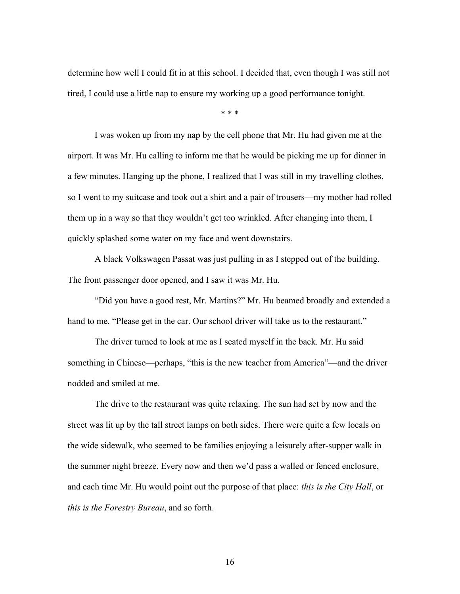determine how well I could fit in at this school. I decided that, even though I was still not tired, I could use a little nap to ensure my working up a good performance tonight.

\* \* \*

I was woken up from my nap by the cell phone that Mr. Hu had given me at the airport. It was Mr. Hu calling to inform me that he would be picking me up for dinner in a few minutes. Hanging up the phone, I realized that I was still in my travelling clothes, so I went to my suitcase and took out a shirt and a pair of trousers—my mother had rolled them up in a way so that they wouldn't get too wrinkled. After changing into them, I quickly splashed some water on my face and went downstairs.

A black Volkswagen Passat was just pulling in as I stepped out of the building. The front passenger door opened, and I saw it was Mr. Hu.

"Did you have a good rest, Mr. Martins?" Mr. Hu beamed broadly and extended a hand to me. "Please get in the car. Our school driver will take us to the restaurant."

The driver turned to look at me as I seated myself in the back. Mr. Hu said something in Chinese—perhaps, "this is the new teacher from America"—and the driver nodded and smiled at me.

The drive to the restaurant was quite relaxing. The sun had set by now and the street was lit up by the tall street lamps on both sides. There were quite a few locals on the wide sidewalk, who seemed to be families enjoying a leisurely after-supper walk in the summer night breeze. Every now and then we'd pass a walled or fenced enclosure, and each time Mr. Hu would point out the purpose of that place: *this is the City Hall*, or *this is the Forestry Bureau*, and so forth.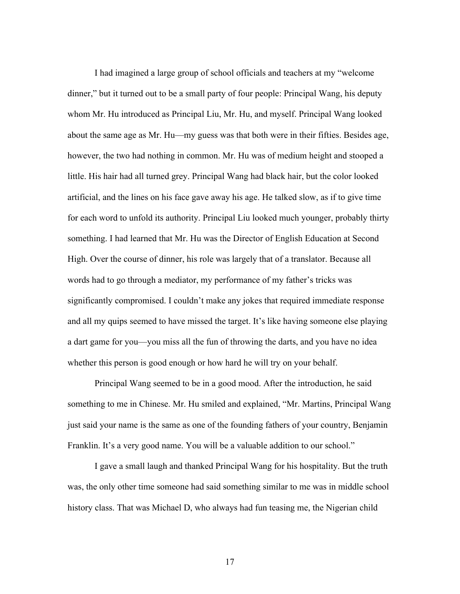I had imagined a large group of school officials and teachers at my "welcome dinner," but it turned out to be a small party of four people: Principal Wang, his deputy whom Mr. Hu introduced as Principal Liu, Mr. Hu, and myself. Principal Wang looked about the same age as Mr. Hu—my guess was that both were in their fifties. Besides age, however, the two had nothing in common. Mr. Hu was of medium height and stooped a little. His hair had all turned grey. Principal Wang had black hair, but the color looked artificial, and the lines on his face gave away his age. He talked slow, as if to give time for each word to unfold its authority. Principal Liu looked much younger, probably thirty something. I had learned that Mr. Hu was the Director of English Education at Second High. Over the course of dinner, his role was largely that of a translator. Because all words had to go through a mediator, my performance of my father's tricks was significantly compromised. I couldn't make any jokes that required immediate response and all my quips seemed to have missed the target. It's like having someone else playing a dart game for you—you miss all the fun of throwing the darts, and you have no idea whether this person is good enough or how hard he will try on your behalf.

Principal Wang seemed to be in a good mood. After the introduction, he said something to me in Chinese. Mr. Hu smiled and explained, "Mr. Martins, Principal Wang just said your name is the same as one of the founding fathers of your country, Benjamin Franklin. It's a very good name. You will be a valuable addition to our school."

I gave a small laugh and thanked Principal Wang for his hospitality. But the truth was, the only other time someone had said something similar to me was in middle school history class. That was Michael D, who always had fun teasing me, the Nigerian child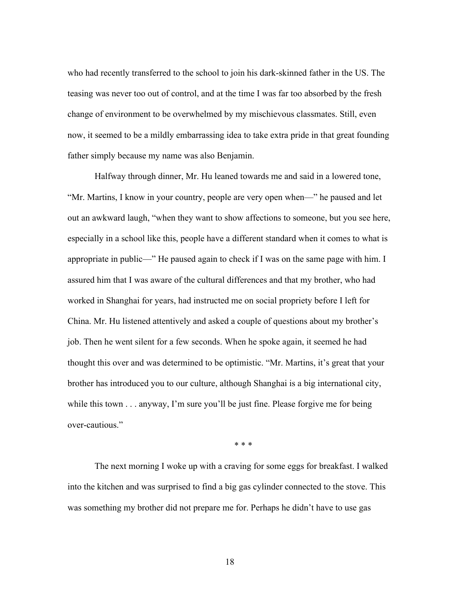who had recently transferred to the school to join his dark-skinned father in the US. The teasing was never too out of control, and at the time I was far too absorbed by the fresh change of environment to be overwhelmed by my mischievous classmates. Still, even now, it seemed to be a mildly embarrassing idea to take extra pride in that great founding father simply because my name was also Benjamin.

Halfway through dinner, Mr. Hu leaned towards me and said in a lowered tone, "Mr. Martins, I know in your country, people are very open when—" he paused and let out an awkward laugh, "when they want to show affections to someone, but you see here, especially in a school like this, people have a different standard when it comes to what is appropriate in public—" He paused again to check if I was on the same page with him. I assured him that I was aware of the cultural differences and that my brother, who had worked in Shanghai for years, had instructed me on social propriety before I left for China. Mr. Hu listened attentively and asked a couple of questions about my brother's job. Then he went silent for a few seconds. When he spoke again, it seemed he had thought this over and was determined to be optimistic. "Mr. Martins, it's great that your brother has introduced you to our culture, although Shanghai is a big international city, while this town . . . anyway, I'm sure you'll be just fine. Please forgive me for being over-cautious."

\* \* \*

The next morning I woke up with a craving for some eggs for breakfast. I walked into the kitchen and was surprised to find a big gas cylinder connected to the stove. This was something my brother did not prepare me for. Perhaps he didn't have to use gas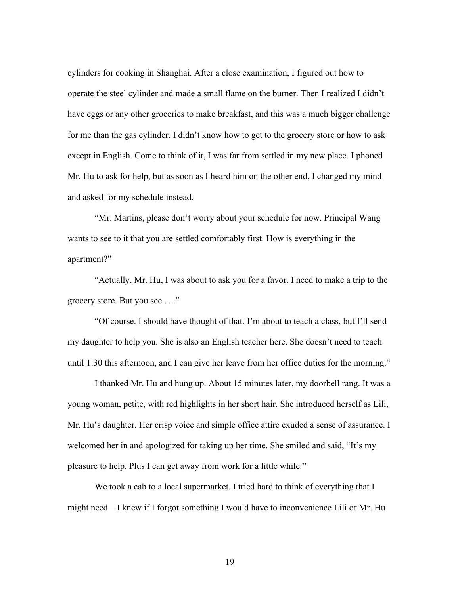cylinders for cooking in Shanghai. After a close examination, I figured out how to operate the steel cylinder and made a small flame on the burner. Then I realized I didn't have eggs or any other groceries to make breakfast, and this was a much bigger challenge for me than the gas cylinder. I didn't know how to get to the grocery store or how to ask except in English. Come to think of it, I was far from settled in my new place. I phoned Mr. Hu to ask for help, but as soon as I heard him on the other end, I changed my mind and asked for my schedule instead.

"Mr. Martins, please don't worry about your schedule for now. Principal Wang wants to see to it that you are settled comfortably first. How is everything in the apartment?"

"Actually, Mr. Hu, I was about to ask you for a favor. I need to make a trip to the grocery store. But you see . . ."

"Of course. I should have thought of that. I'm about to teach a class, but I'll send my daughter to help you. She is also an English teacher here. She doesn't need to teach until 1:30 this afternoon, and I can give her leave from her office duties for the morning."

I thanked Mr. Hu and hung up. About 15 minutes later, my doorbell rang. It was a young woman, petite, with red highlights in her short hair. She introduced herself as Lili, Mr. Hu's daughter. Her crisp voice and simple office attire exuded a sense of assurance. I welcomed her in and apologized for taking up her time. She smiled and said, "It's my pleasure to help. Plus I can get away from work for a little while."

We took a cab to a local supermarket. I tried hard to think of everything that I might need—I knew if I forgot something I would have to inconvenience Lili or Mr. Hu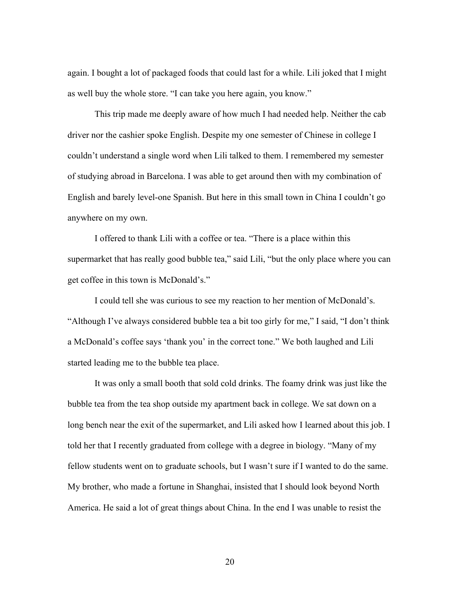again. I bought a lot of packaged foods that could last for a while. Lili joked that I might as well buy the whole store. "I can take you here again, you know."

This trip made me deeply aware of how much I had needed help. Neither the cab driver nor the cashier spoke English. Despite my one semester of Chinese in college I couldn't understand a single word when Lili talked to them. I remembered my semester of studying abroad in Barcelona. I was able to get around then with my combination of English and barely level-one Spanish. But here in this small town in China I couldn't go anywhere on my own.

I offered to thank Lili with a coffee or tea. "There is a place within this supermarket that has really good bubble tea," said Lili, "but the only place where you can get coffee in this town is McDonald's."

I could tell she was curious to see my reaction to her mention of McDonald's. "Although I've always considered bubble tea a bit too girly for me," I said, "I don't think a McDonald's coffee says 'thank you' in the correct tone." We both laughed and Lili started leading me to the bubble tea place.

It was only a small booth that sold cold drinks. The foamy drink was just like the bubble tea from the tea shop outside my apartment back in college. We sat down on a long bench near the exit of the supermarket, and Lili asked how I learned about this job. I told her that I recently graduated from college with a degree in biology. "Many of my fellow students went on to graduate schools, but I wasn't sure if I wanted to do the same. My brother, who made a fortune in Shanghai, insisted that I should look beyond North America. He said a lot of great things about China. In the end I was unable to resist the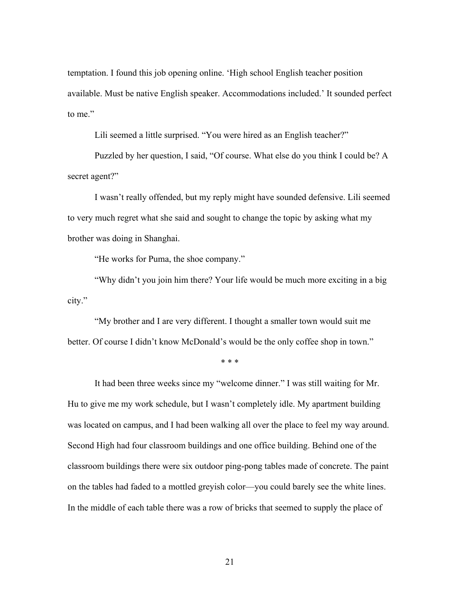temptation. I found this job opening online. 'High school English teacher position available. Must be native English speaker. Accommodations included.' It sounded perfect to me."

Lili seemed a little surprised. "You were hired as an English teacher?"

Puzzled by her question, I said, "Of course. What else do you think I could be? A secret agent?"

I wasn't really offended, but my reply might have sounded defensive. Lili seemed to very much regret what she said and sought to change the topic by asking what my brother was doing in Shanghai.

"He works for Puma, the shoe company."

"Why didn't you join him there? Your life would be much more exciting in a big city."

"My brother and I are very different. I thought a smaller town would suit me better. Of course I didn't know McDonald's would be the only coffee shop in town."

\* \* \*

It had been three weeks since my "welcome dinner." I was still waiting for Mr. Hu to give me my work schedule, but I wasn't completely idle. My apartment building was located on campus, and I had been walking all over the place to feel my way around. Second High had four classroom buildings and one office building. Behind one of the classroom buildings there were six outdoor ping-pong tables made of concrete. The paint on the tables had faded to a mottled greyish color—you could barely see the white lines. In the middle of each table there was a row of bricks that seemed to supply the place of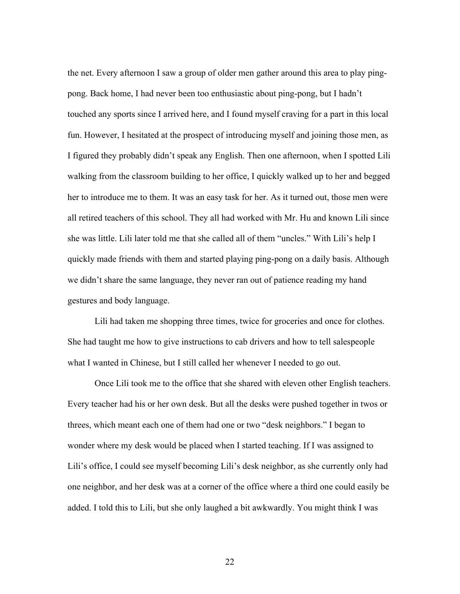the net. Every afternoon I saw a group of older men gather around this area to play pingpong. Back home, I had never been too enthusiastic about ping-pong, but I hadn't touched any sports since I arrived here, and I found myself craving for a part in this local fun. However, I hesitated at the prospect of introducing myself and joining those men, as I figured they probably didn't speak any English. Then one afternoon, when I spotted Lili walking from the classroom building to her office, I quickly walked up to her and begged her to introduce me to them. It was an easy task for her. As it turned out, those men were all retired teachers of this school. They all had worked with Mr. Hu and known Lili since she was little. Lili later told me that she called all of them "uncles." With Lili's help I quickly made friends with them and started playing ping-pong on a daily basis. Although we didn't share the same language, they never ran out of patience reading my hand gestures and body language.

Lili had taken me shopping three times, twice for groceries and once for clothes. She had taught me how to give instructions to cab drivers and how to tell salespeople what I wanted in Chinese, but I still called her whenever I needed to go out.

Once Lili took me to the office that she shared with eleven other English teachers. Every teacher had his or her own desk. But all the desks were pushed together in twos or threes, which meant each one of them had one or two "desk neighbors." I began to wonder where my desk would be placed when I started teaching. If I was assigned to Lili's office, I could see myself becoming Lili's desk neighbor, as she currently only had one neighbor, and her desk was at a corner of the office where a third one could easily be added. I told this to Lili, but she only laughed a bit awkwardly. You might think I was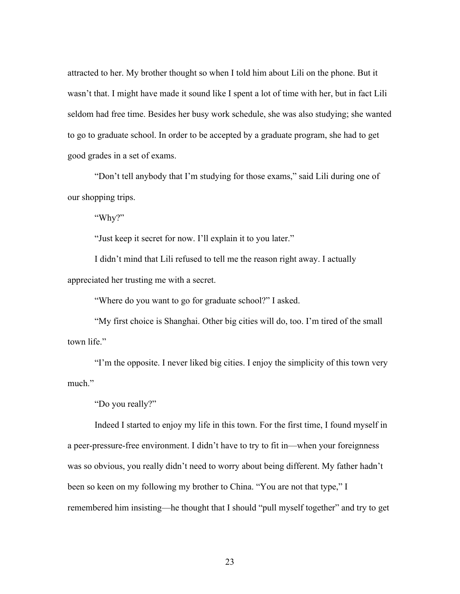attracted to her. My brother thought so when I told him about Lili on the phone. But it wasn't that. I might have made it sound like I spent a lot of time with her, but in fact Lili seldom had free time. Besides her busy work schedule, she was also studying; she wanted to go to graduate school. In order to be accepted by a graduate program, she had to get good grades in a set of exams.

"Don't tell anybody that I'm studying for those exams," said Lili during one of our shopping trips.

"Why?"

"Just keep it secret for now. I'll explain it to you later."

I didn't mind that Lili refused to tell me the reason right away. I actually appreciated her trusting me with a secret.

"Where do you want to go for graduate school?" I asked.

"My first choice is Shanghai. Other big cities will do, too. I'm tired of the small town life."

"I'm the opposite. I never liked big cities. I enjoy the simplicity of this town very much."

"Do you really?"

Indeed I started to enjoy my life in this town. For the first time, I found myself in a peer-pressure-free environment. I didn't have to try to fit in—when your foreignness was so obvious, you really didn't need to worry about being different. My father hadn't been so keen on my following my brother to China. "You are not that type," I remembered him insisting—he thought that I should "pull myself together" and try to get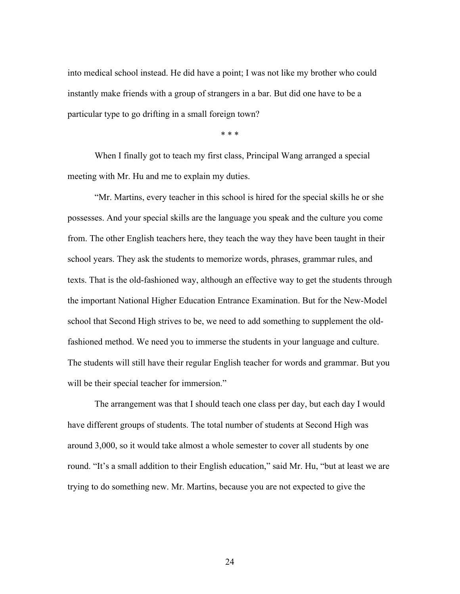into medical school instead. He did have a point; I was not like my brother who could instantly make friends with a group of strangers in a bar. But did one have to be a particular type to go drifting in a small foreign town?

\* \* \*

When I finally got to teach my first class, Principal Wang arranged a special meeting with Mr. Hu and me to explain my duties.

"Mr. Martins, every teacher in this school is hired for the special skills he or she possesses. And your special skills are the language you speak and the culture you come from. The other English teachers here, they teach the way they have been taught in their school years. They ask the students to memorize words, phrases, grammar rules, and texts. That is the old-fashioned way, although an effective way to get the students through the important National Higher Education Entrance Examination. But for the New-Model school that Second High strives to be, we need to add something to supplement the oldfashioned method. We need you to immerse the students in your language and culture. The students will still have their regular English teacher for words and grammar. But you will be their special teacher for immersion."

The arrangement was that I should teach one class per day, but each day I would have different groups of students. The total number of students at Second High was around 3,000, so it would take almost a whole semester to cover all students by one round. "It's a small addition to their English education," said Mr. Hu, "but at least we are trying to do something new. Mr. Martins, because you are not expected to give the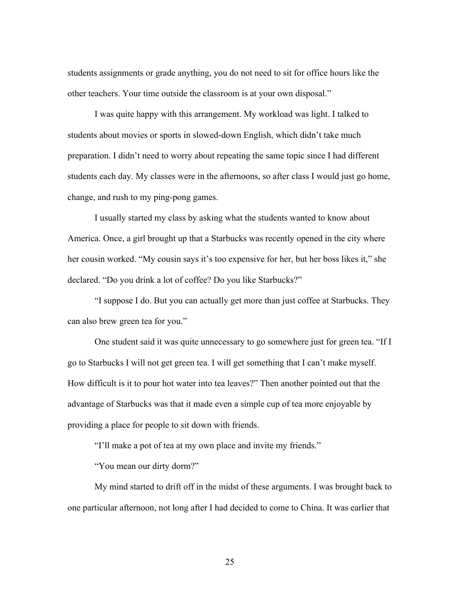students assignments or grade anything, you do not need to sit for office hours like the other teachers. Your time outside the classroom is at your own disposal."

I was quite happy with this arrangement. My workload was light. I talked to students about movies or sports in slowed-down English, which didn't take much preparation. I didn't need to worry about repeating the same topic since I had different students each day. My classes were in the afternoons, so after class I would just go home, change, and rush to my ping-pong games.

I usually started my class by asking what the students wanted to know about America. Once, a girl brought up that a Starbucks was recently opened in the city where her cousin worked. "My cousin says it's too expensive for her, but her boss likes it," she declared. "Do you drink a lot of coffee? Do you like Starbucks?"

"I suppose I do. But you can actually get more than just coffee at Starbucks. They can also brew green tea for you."

One student said it was quite unnecessary to go somewhere just for green tea. "If I go to Starbucks I will not get green tea. I will get something that I can't make myself. How difficult is it to pour hot water into tea leaves?" Then another pointed out that the advantage of Starbucks was that it made even a simple cup of tea more enjoyable by providing a place for people to sit down with friends.

"I'll make a pot of tea at my own place and invite my friends."

"You mean our dirty dorm?"

My mind started to drift off in the midst of these arguments. I was brought back to one particular afternoon, not long after I had decided to come to China. It was earlier that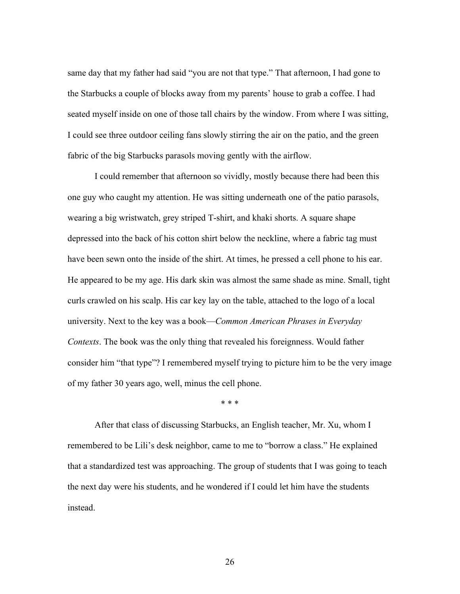same day that my father had said "you are not that type." That afternoon, I had gone to the Starbucks a couple of blocks away from my parents' house to grab a coffee. I had seated myself inside on one of those tall chairs by the window. From where I was sitting, I could see three outdoor ceiling fans slowly stirring the air on the patio, and the green fabric of the big Starbucks parasols moving gently with the airflow.

I could remember that afternoon so vividly, mostly because there had been this one guy who caught my attention. He was sitting underneath one of the patio parasols, wearing a big wristwatch, grey striped T-shirt, and khaki shorts. A square shape depressed into the back of his cotton shirt below the neckline, where a fabric tag must have been sewn onto the inside of the shirt. At times, he pressed a cell phone to his ear. He appeared to be my age. His dark skin was almost the same shade as mine. Small, tight curls crawled on his scalp. His car key lay on the table, attached to the logo of a local university. Next to the key was a book—*Common American Phrases in Everyday Contexts*. The book was the only thing that revealed his foreignness. Would father consider him "that type"? I remembered myself trying to picture him to be the very image of my father 30 years ago, well, minus the cell phone.

\* \* \*

After that class of discussing Starbucks, an English teacher, Mr. Xu, whom I remembered to be Lili's desk neighbor, came to me to "borrow a class." He explained that a standardized test was approaching. The group of students that I was going to teach the next day were his students, and he wondered if I could let him have the students instead.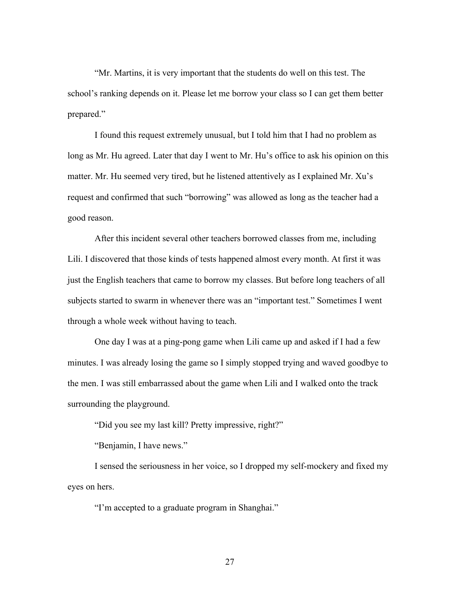"Mr. Martins, it is very important that the students do well on this test. The school's ranking depends on it. Please let me borrow your class so I can get them better prepared."

I found this request extremely unusual, but I told him that I had no problem as long as Mr. Hu agreed. Later that day I went to Mr. Hu's office to ask his opinion on this matter. Mr. Hu seemed very tired, but he listened attentively as I explained Mr. Xu's request and confirmed that such "borrowing" was allowed as long as the teacher had a good reason.

After this incident several other teachers borrowed classes from me, including Lili. I discovered that those kinds of tests happened almost every month. At first it was just the English teachers that came to borrow my classes. But before long teachers of all subjects started to swarm in whenever there was an "important test." Sometimes I went through a whole week without having to teach.

One day I was at a ping-pong game when Lili came up and asked if I had a few minutes. I was already losing the game so I simply stopped trying and waved goodbye to the men. I was still embarrassed about the game when Lili and I walked onto the track surrounding the playground.

"Did you see my last kill? Pretty impressive, right?"

"Benjamin, I have news."

I sensed the seriousness in her voice, so I dropped my self-mockery and fixed my eyes on hers.

"I'm accepted to a graduate program in Shanghai."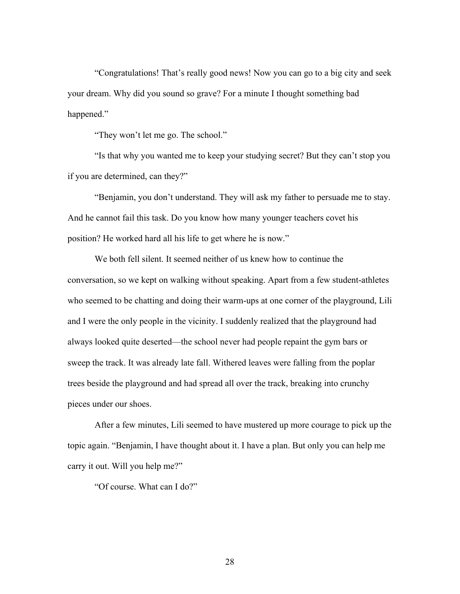"Congratulations! That's really good news! Now you can go to a big city and seek your dream. Why did you sound so grave? For a minute I thought something bad happened."

"They won't let me go. The school."

"Is that why you wanted me to keep your studying secret? But they can't stop you if you are determined, can they?"

"Benjamin, you don't understand. They will ask my father to persuade me to stay. And he cannot fail this task. Do you know how many younger teachers covet his position? He worked hard all his life to get where he is now."

We both fell silent. It seemed neither of us knew how to continue the conversation, so we kept on walking without speaking. Apart from a few student-athletes who seemed to be chatting and doing their warm-ups at one corner of the playground, Lili and I were the only people in the vicinity. I suddenly realized that the playground had always looked quite deserted—the school never had people repaint the gym bars or sweep the track. It was already late fall. Withered leaves were falling from the poplar trees beside the playground and had spread all over the track, breaking into crunchy pieces under our shoes.

After a few minutes, Lili seemed to have mustered up more courage to pick up the topic again. "Benjamin, I have thought about it. I have a plan. But only you can help me carry it out. Will you help me?"

"Of course. What can I do?"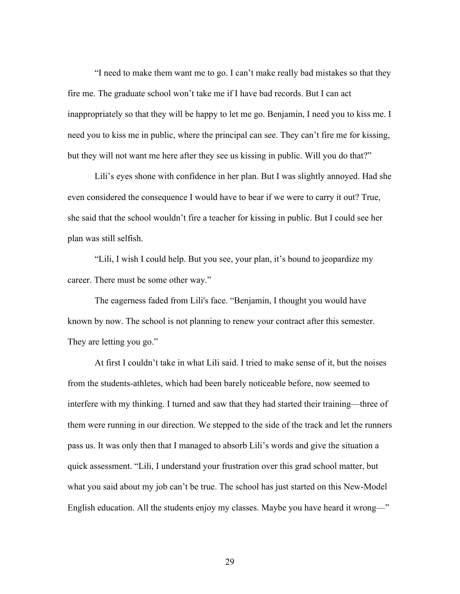"I need to make them want me to go. I can't make really bad mistakes so that they fire me. The graduate school won't take me if I have bad records. But I can act inappropriately so that they will be happy to let me go. Benjamin, I need you to kiss me. I need you to kiss me in public, where the principal can see. They can't fire me for kissing, but they will not want me here after they see us kissing in public. Will you do that?"

Lili's eyes shone with confidence in her plan. But I was slightly annoyed. Had she even considered the consequence I would have to bear if we were to carry it out? True, she said that the school wouldn't fire a teacher for kissing in public. But I could see her plan was still selfish.

"Lili, I wish I could help. But you see, your plan, it's bound to jeopardize my career. There must be some other way."

The eagerness faded from Lili's face. "Benjamin, I thought you would have known by now. The school is not planning to renew your contract after this semester. They are letting you go."

At first I couldn't take in what Lili said. I tried to make sense of it, but the noises from the students-athletes, which had been barely noticeable before, now seemed to interfere with my thinking. I turned and saw that they had started their training—three of them were running in our direction. We stepped to the side of the track and let the runners pass us. It was only then that I managed to absorb Lili's words and give the situation a quick assessment. "Lili, I understand your frustration over this grad school matter, but what you said about my job can't be true. The school has just started on this New-Model English education. All the students enjoy my classes. Maybe you have heard it wrong—"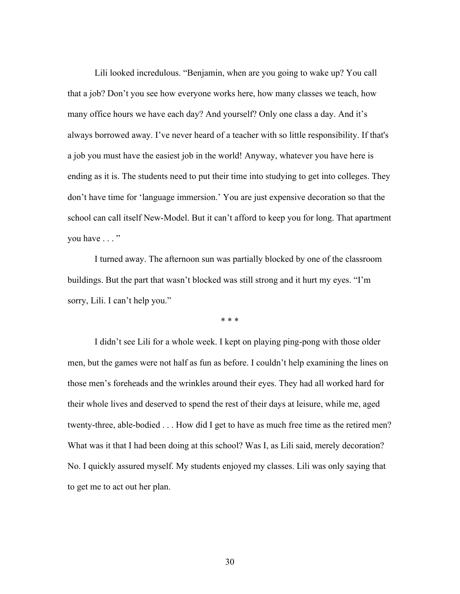Lili looked incredulous. "Benjamin, when are you going to wake up? You call that a job? Don't you see how everyone works here, how many classes we teach, how many office hours we have each day? And yourself? Only one class a day. And it's always borrowed away. I've never heard of a teacher with so little responsibility. If that's a job you must have the easiest job in the world! Anyway, whatever you have here is ending as it is. The students need to put their time into studying to get into colleges. They don't have time for 'language immersion.' You are just expensive decoration so that the school can call itself New-Model. But it can't afford to keep you for long. That apartment you have . . . "

I turned away. The afternoon sun was partially blocked by one of the classroom buildings. But the part that wasn't blocked was still strong and it hurt my eyes. "I'm sorry, Lili. I can't help you."

\* \* \*

I didn't see Lili for a whole week. I kept on playing ping-pong with those older men, but the games were not half as fun as before. I couldn't help examining the lines on those men's foreheads and the wrinkles around their eyes. They had all worked hard for their whole lives and deserved to spend the rest of their days at leisure, while me, aged twenty-three, able-bodied . . . How did I get to have as much free time as the retired men? What was it that I had been doing at this school? Was I, as Lili said, merely decoration? No. I quickly assured myself. My students enjoyed my classes. Lili was only saying that to get me to act out her plan.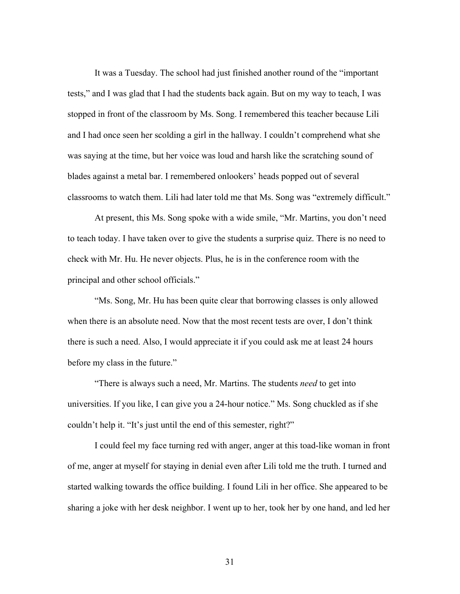It was a Tuesday. The school had just finished another round of the "important tests," and I was glad that I had the students back again. But on my way to teach, I was stopped in front of the classroom by Ms. Song. I remembered this teacher because Lili and I had once seen her scolding a girl in the hallway. I couldn't comprehend what she was saying at the time, but her voice was loud and harsh like the scratching sound of blades against a metal bar. I remembered onlookers' heads popped out of several classrooms to watch them. Lili had later told me that Ms. Song was "extremely difficult."

At present, this Ms. Song spoke with a wide smile, "Mr. Martins, you don't need to teach today. I have taken over to give the students a surprise quiz. There is no need to check with Mr. Hu. He never objects. Plus, he is in the conference room with the principal and other school officials."

"Ms. Song, Mr. Hu has been quite clear that borrowing classes is only allowed when there is an absolute need. Now that the most recent tests are over, I don't think there is such a need. Also, I would appreciate it if you could ask me at least 24 hours before my class in the future."

"There is always such a need, Mr. Martins. The students *need* to get into universities. If you like, I can give you a 24-hour notice." Ms. Song chuckled as if she couldn't help it. "It's just until the end of this semester, right?"

I could feel my face turning red with anger, anger at this toad-like woman in front of me, anger at myself for staying in denial even after Lili told me the truth. I turned and started walking towards the office building. I found Lili in her office. She appeared to be sharing a joke with her desk neighbor. I went up to her, took her by one hand, and led her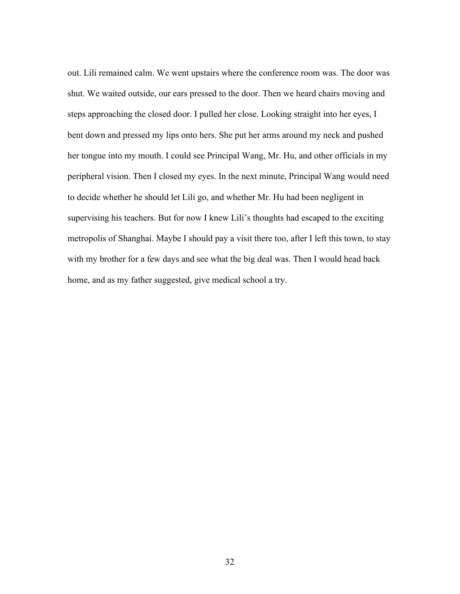out. Lili remained calm. We went upstairs where the conference room was. The door was shut. We waited outside, our ears pressed to the door. Then we heard chairs moving and steps approaching the closed door. I pulled her close. Looking straight into her eyes, I bent down and pressed my lips onto hers. She put her arms around my neck and pushed her tongue into my mouth. I could see Principal Wang, Mr. Hu, and other officials in my peripheral vision. Then I closed my eyes. In the next minute, Principal Wang would need to decide whether he should let Lili go, and whether Mr. Hu had been negligent in supervising his teachers. But for now I knew Lili's thoughts had escaped to the exciting metropolis of Shanghai. Maybe I should pay a visit there too, after I left this town, to stay with my brother for a few days and see what the big deal was. Then I would head back home, and as my father suggested, give medical school a try.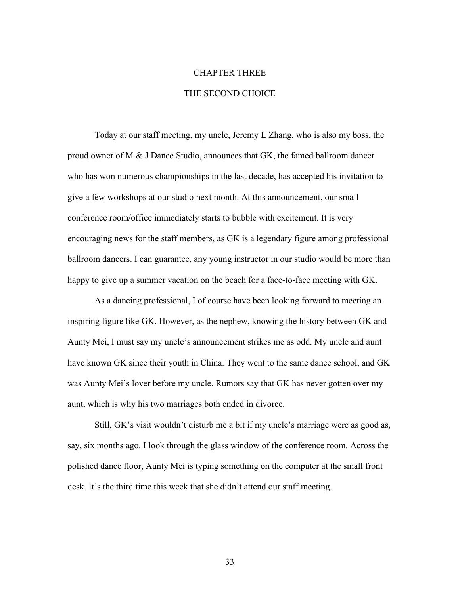## CHAPTER THREE

#### THE SECOND CHOICE

Today at our staff meeting, my uncle, Jeremy L Zhang, who is also my boss, the proud owner of M & J Dance Studio, announces that GK, the famed ballroom dancer who has won numerous championships in the last decade, has accepted his invitation to give a few workshops at our studio next month. At this announcement, our small conference room/office immediately starts to bubble with excitement. It is very encouraging news for the staff members, as GK is a legendary figure among professional ballroom dancers. I can guarantee, any young instructor in our studio would be more than happy to give up a summer vacation on the beach for a face-to-face meeting with GK.

As a dancing professional, I of course have been looking forward to meeting an inspiring figure like GK. However, as the nephew, knowing the history between GK and Aunty Mei, I must say my uncle's announcement strikes me as odd. My uncle and aunt have known GK since their youth in China. They went to the same dance school, and GK was Aunty Mei's lover before my uncle. Rumors say that GK has never gotten over my aunt, which is why his two marriages both ended in divorce.

Still, GK's visit wouldn't disturb me a bit if my uncle's marriage were as good as, say, six months ago. I look through the glass window of the conference room. Across the polished dance floor, Aunty Mei is typing something on the computer at the small front desk. It's the third time this week that she didn't attend our staff meeting.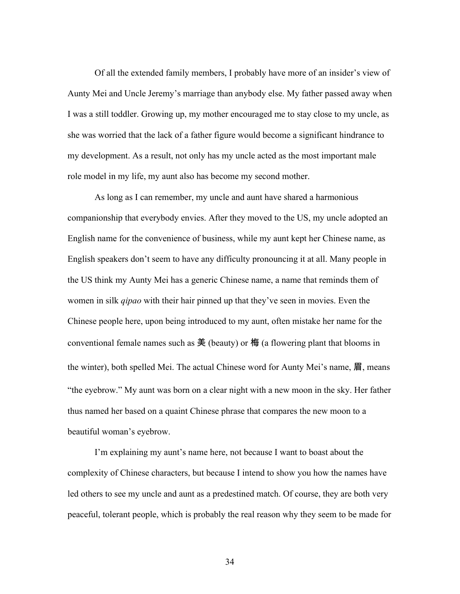Of all the extended family members, I probably have more of an insider's view of Aunty Mei and Uncle Jeremy's marriage than anybody else. My father passed away when I was a still toddler. Growing up, my mother encouraged me to stay close to my uncle, as she was worried that the lack of a father figure would become a significant hindrance to my development. As a result, not only has my uncle acted as the most important male role model in my life, my aunt also has become my second mother.

As long as I can remember, my uncle and aunt have shared a harmonious companionship that everybody envies. After they moved to the US, my uncle adopted an English name for the convenience of business, while my aunt kept her Chinese name, as English speakers don't seem to have any difficulty pronouncing it at all. Many people in the US think my Aunty Mei has a generic Chinese name, a name that reminds them of women in silk *qipao* with their hair pinned up that they've seen in movies. Even the Chinese people here, upon being introduced to my aunt, often mistake her name for the conventional female names such as  $\tilde{\mathcal{F}}$  (beauty) or  $\varphi$  (a flowering plant that blooms in the winter), both spelled Mei. The actual Chinese word for Aunty Mei's name, 眉, means "the eyebrow." My aunt was born on a clear night with a new moon in the sky. Her father thus named her based on a quaint Chinese phrase that compares the new moon to a beautiful woman's eyebrow.

I'm explaining my aunt's name here, not because I want to boast about the complexity of Chinese characters, but because I intend to show you how the names have led others to see my uncle and aunt as a predestined match. Of course, they are both very peaceful, tolerant people, which is probably the real reason why they seem to be made for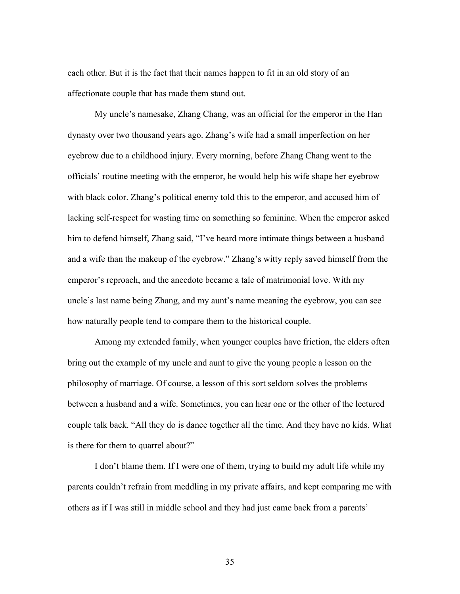each other. But it is the fact that their names happen to fit in an old story of an affectionate couple that has made them stand out.

My uncle's namesake, Zhang Chang, was an official for the emperor in the Han dynasty over two thousand years ago. Zhang's wife had a small imperfection on her eyebrow due to a childhood injury. Every morning, before Zhang Chang went to the officials' routine meeting with the emperor, he would help his wife shape her eyebrow with black color. Zhang's political enemy told this to the emperor, and accused him of lacking self-respect for wasting time on something so feminine. When the emperor asked him to defend himself, Zhang said, "I've heard more intimate things between a husband and a wife than the makeup of the eyebrow." Zhang's witty reply saved himself from the emperor's reproach, and the anecdote became a tale of matrimonial love. With my uncle's last name being Zhang, and my aunt's name meaning the eyebrow, you can see how naturally people tend to compare them to the historical couple.

Among my extended family, when younger couples have friction, the elders often bring out the example of my uncle and aunt to give the young people a lesson on the philosophy of marriage. Of course, a lesson of this sort seldom solves the problems between a husband and a wife. Sometimes, you can hear one or the other of the lectured couple talk back. "All they do is dance together all the time. And they have no kids. What is there for them to quarrel about?"

I don't blame them. If I were one of them, trying to build my adult life while my parents couldn't refrain from meddling in my private affairs, and kept comparing me with others as if I was still in middle school and they had just came back from a parents'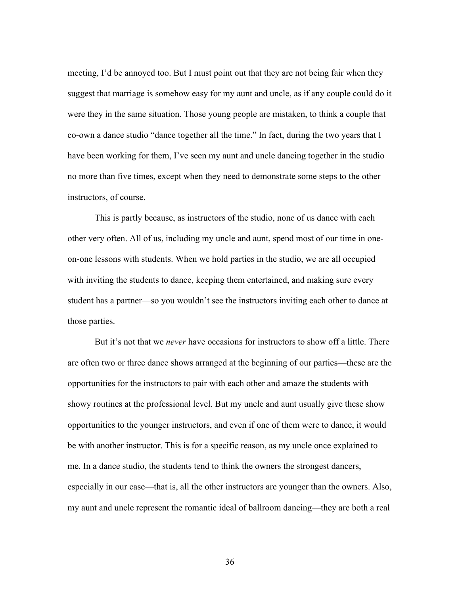meeting, I'd be annoyed too. But I must point out that they are not being fair when they suggest that marriage is somehow easy for my aunt and uncle, as if any couple could do it were they in the same situation. Those young people are mistaken, to think a couple that co-own a dance studio "dance together all the time." In fact, during the two years that I have been working for them, I've seen my aunt and uncle dancing together in the studio no more than five times, except when they need to demonstrate some steps to the other instructors, of course.

This is partly because, as instructors of the studio, none of us dance with each other very often. All of us, including my uncle and aunt, spend most of our time in oneon-one lessons with students. When we hold parties in the studio, we are all occupied with inviting the students to dance, keeping them entertained, and making sure every student has a partner—so you wouldn't see the instructors inviting each other to dance at those parties.

But it's not that we *never* have occasions for instructors to show off a little. There are often two or three dance shows arranged at the beginning of our parties—these are the opportunities for the instructors to pair with each other and amaze the students with showy routines at the professional level. But my uncle and aunt usually give these show opportunities to the younger instructors, and even if one of them were to dance, it would be with another instructor. This is for a specific reason, as my uncle once explained to me. In a dance studio, the students tend to think the owners the strongest dancers, especially in our case—that is, all the other instructors are younger than the owners. Also, my aunt and uncle represent the romantic ideal of ballroom dancing—they are both a real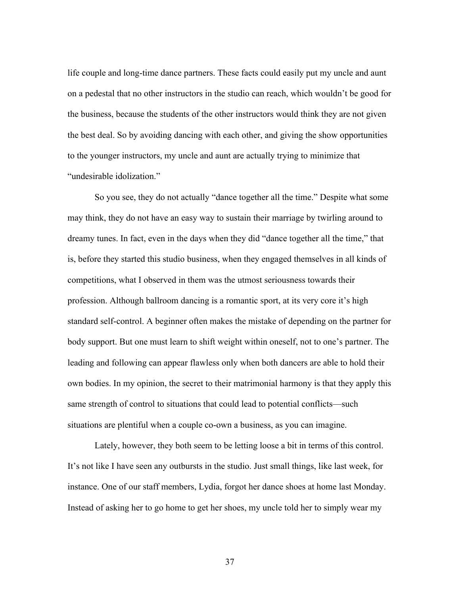life couple and long-time dance partners. These facts could easily put my uncle and aunt on a pedestal that no other instructors in the studio can reach, which wouldn't be good for the business, because the students of the other instructors would think they are not given the best deal. So by avoiding dancing with each other, and giving the show opportunities to the younger instructors, my uncle and aunt are actually trying to minimize that "undesirable idolization."

So you see, they do not actually "dance together all the time." Despite what some may think, they do not have an easy way to sustain their marriage by twirling around to dreamy tunes. In fact, even in the days when they did "dance together all the time," that is, before they started this studio business, when they engaged themselves in all kinds of competitions, what I observed in them was the utmost seriousness towards their profession. Although ballroom dancing is a romantic sport, at its very core it's high standard self-control. A beginner often makes the mistake of depending on the partner for body support. But one must learn to shift weight within oneself, not to one's partner. The leading and following can appear flawless only when both dancers are able to hold their own bodies. In my opinion, the secret to their matrimonial harmony is that they apply this same strength of control to situations that could lead to potential conflicts—such situations are plentiful when a couple co-own a business, as you can imagine.

Lately, however, they both seem to be letting loose a bit in terms of this control. It's not like I have seen any outbursts in the studio. Just small things, like last week, for instance. One of our staff members, Lydia, forgot her dance shoes at home last Monday. Instead of asking her to go home to get her shoes, my uncle told her to simply wear my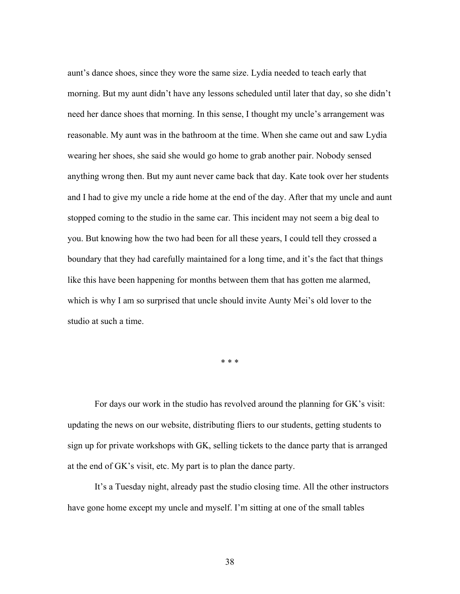aunt's dance shoes, since they wore the same size. Lydia needed to teach early that morning. But my aunt didn't have any lessons scheduled until later that day, so she didn't need her dance shoes that morning. In this sense, I thought my uncle's arrangement was reasonable. My aunt was in the bathroom at the time. When she came out and saw Lydia wearing her shoes, she said she would go home to grab another pair. Nobody sensed anything wrong then. But my aunt never came back that day. Kate took over her students and I had to give my uncle a ride home at the end of the day. After that my uncle and aunt stopped coming to the studio in the same car. This incident may not seem a big deal to you. But knowing how the two had been for all these years, I could tell they crossed a boundary that they had carefully maintained for a long time, and it's the fact that things like this have been happening for months between them that has gotten me alarmed, which is why I am so surprised that uncle should invite Aunty Mei's old lover to the studio at such a time.

\* \* \*

For days our work in the studio has revolved around the planning for GK's visit: updating the news on our website, distributing fliers to our students, getting students to sign up for private workshops with GK, selling tickets to the dance party that is arranged at the end of GK's visit, etc. My part is to plan the dance party.

It's a Tuesday night, already past the studio closing time. All the other instructors have gone home except my uncle and myself. I'm sitting at one of the small tables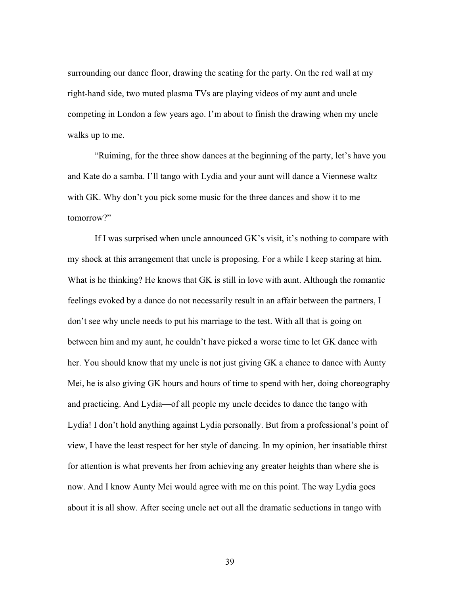surrounding our dance floor, drawing the seating for the party. On the red wall at my right-hand side, two muted plasma TVs are playing videos of my aunt and uncle competing in London a few years ago. I'm about to finish the drawing when my uncle walks up to me.

"Ruiming, for the three show dances at the beginning of the party, let's have you and Kate do a samba. I'll tango with Lydia and your aunt will dance a Viennese waltz with GK. Why don't you pick some music for the three dances and show it to me tomorrow?"

If I was surprised when uncle announced GK's visit, it's nothing to compare with my shock at this arrangement that uncle is proposing. For a while I keep staring at him. What is he thinking? He knows that GK is still in love with aunt. Although the romantic feelings evoked by a dance do not necessarily result in an affair between the partners, I don't see why uncle needs to put his marriage to the test. With all that is going on between him and my aunt, he couldn't have picked a worse time to let GK dance with her. You should know that my uncle is not just giving GK a chance to dance with Aunty Mei, he is also giving GK hours and hours of time to spend with her, doing choreography and practicing. And Lydia—of all people my uncle decides to dance the tango with Lydia! I don't hold anything against Lydia personally. But from a professional's point of view, I have the least respect for her style of dancing. In my opinion, her insatiable thirst for attention is what prevents her from achieving any greater heights than where she is now. And I know Aunty Mei would agree with me on this point. The way Lydia goes about it is all show. After seeing uncle act out all the dramatic seductions in tango with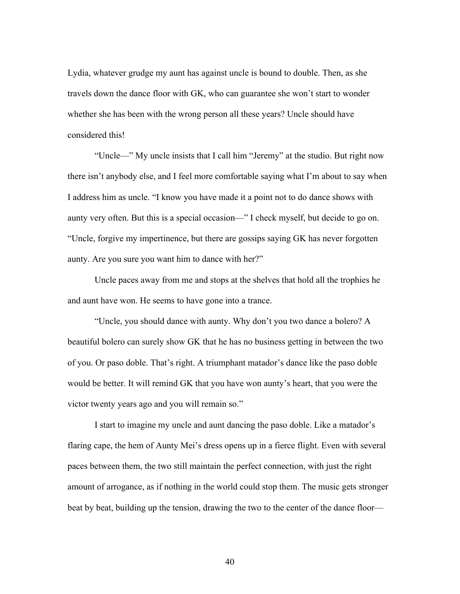Lydia, whatever grudge my aunt has against uncle is bound to double. Then, as she travels down the dance floor with GK, who can guarantee she won't start to wonder whether she has been with the wrong person all these years? Uncle should have considered this!

"Uncle—" My uncle insists that I call him "Jeremy" at the studio. But right now there isn't anybody else, and I feel more comfortable saying what I'm about to say when I address him as uncle. "I know you have made it a point not to do dance shows with aunty very often. But this is a special occasion—" I check myself, but decide to go on. "Uncle, forgive my impertinence, but there are gossips saying GK has never forgotten aunty. Are you sure you want him to dance with her?"

Uncle paces away from me and stops at the shelves that hold all the trophies he and aunt have won. He seems to have gone into a trance.

"Uncle, you should dance with aunty. Why don't you two dance a bolero? A beautiful bolero can surely show GK that he has no business getting in between the two of you. Or paso doble. That's right. A triumphant matador's dance like the paso doble would be better. It will remind GK that you have won aunty's heart, that you were the victor twenty years ago and you will remain so."

I start to imagine my uncle and aunt dancing the paso doble. Like a matador's flaring cape, the hem of Aunty Mei's dress opens up in a fierce flight. Even with several paces between them, the two still maintain the perfect connection, with just the right amount of arrogance, as if nothing in the world could stop them. The music gets stronger beat by beat, building up the tension, drawing the two to the center of the dance floor—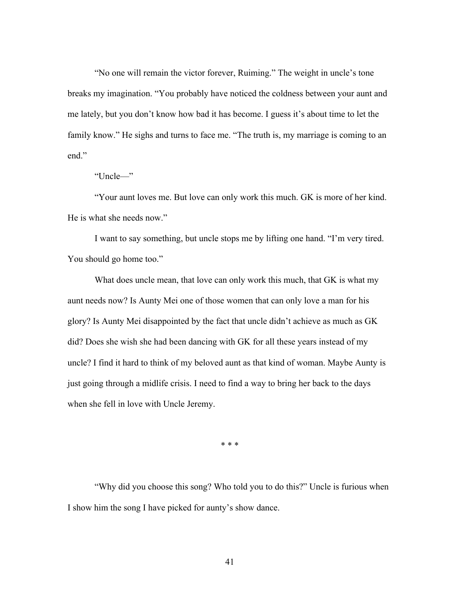"No one will remain the victor forever, Ruiming." The weight in uncle's tone breaks my imagination. "You probably have noticed the coldness between your aunt and me lately, but you don't know how bad it has become. I guess it's about time to let the family know." He sighs and turns to face me. "The truth is, my marriage is coming to an end."

"Uncle—"

"Your aunt loves me. But love can only work this much. GK is more of her kind. He is what she needs now."

I want to say something, but uncle stops me by lifting one hand. "I'm very tired. You should go home too."

What does uncle mean, that love can only work this much, that GK is what my aunt needs now? Is Aunty Mei one of those women that can only love a man for his glory? Is Aunty Mei disappointed by the fact that uncle didn't achieve as much as GK did? Does she wish she had been dancing with GK for all these years instead of my uncle? I find it hard to think of my beloved aunt as that kind of woman. Maybe Aunty is just going through a midlife crisis. I need to find a way to bring her back to the days when she fell in love with Uncle Jeremy.

\* \* \*

"Why did you choose this song? Who told you to do this?" Uncle is furious when I show him the song I have picked for aunty's show dance.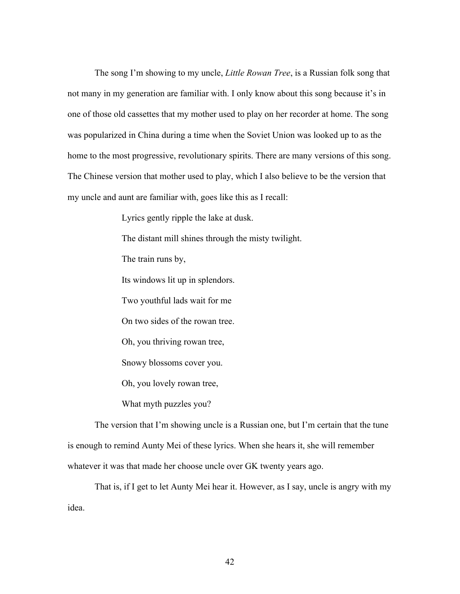The song I'm showing to my uncle, *Little Rowan Tree*, is a Russian folk song that not many in my generation are familiar with. I only know about this song because it's in one of those old cassettes that my mother used to play on her recorder at home. The song was popularized in China during a time when the Soviet Union was looked up to as the home to the most progressive, revolutionary spirits. There are many versions of this song. The Chinese version that mother used to play, which I also believe to be the version that my uncle and aunt are familiar with, goes like this as I recall:

Lyrics gently ripple the lake at dusk.

The distant mill shines through the misty twilight.

The train runs by,

Its windows lit up in splendors.

Two youthful lads wait for me

On two sides of the rowan tree.

Oh, you thriving rowan tree,

Snowy blossoms cover you.

Oh, you lovely rowan tree,

What myth puzzles you?

The version that I'm showing uncle is a Russian one, but I'm certain that the tune is enough to remind Aunty Mei of these lyrics. When she hears it, she will remember whatever it was that made her choose uncle over GK twenty years ago.

That is, if I get to let Aunty Mei hear it. However, as I say, uncle is angry with my idea.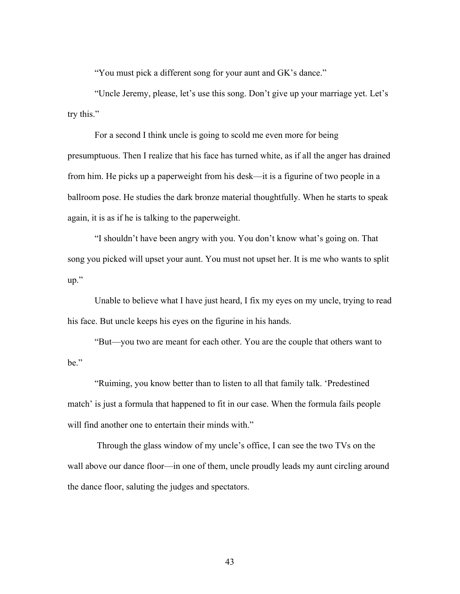"You must pick a different song for your aunt and GK's dance."

"Uncle Jeremy, please, let's use this song. Don't give up your marriage yet. Let's try this."

For a second I think uncle is going to scold me even more for being presumptuous. Then I realize that his face has turned white, as if all the anger has drained from him. He picks up a paperweight from his desk—it is a figurine of two people in a ballroom pose. He studies the dark bronze material thoughtfully. When he starts to speak again, it is as if he is talking to the paperweight.

"I shouldn't have been angry with you. You don't know what's going on. That song you picked will upset your aunt. You must not upset her. It is me who wants to split up."

Unable to believe what I have just heard, I fix my eyes on my uncle, trying to read his face. But uncle keeps his eyes on the figurine in his hands.

"But—you two are meant for each other. You are the couple that others want to be."

"Ruiming, you know better than to listen to all that family talk. 'Predestined match' is just a formula that happened to fit in our case. When the formula fails people will find another one to entertain their minds with."

Through the glass window of my uncle's office, I can see the two TVs on the wall above our dance floor—in one of them, uncle proudly leads my aunt circling around the dance floor, saluting the judges and spectators.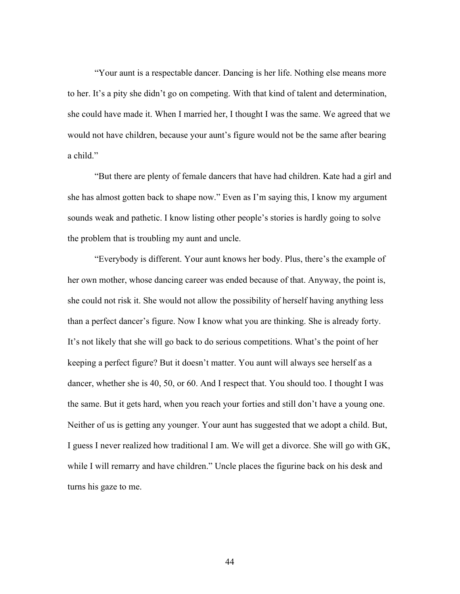"Your aunt is a respectable dancer. Dancing is her life. Nothing else means more to her. It's a pity she didn't go on competing. With that kind of talent and determination, she could have made it. When I married her, I thought I was the same. We agreed that we would not have children, because your aunt's figure would not be the same after bearing a child."

"But there are plenty of female dancers that have had children. Kate had a girl and she has almost gotten back to shape now." Even as I'm saying this, I know my argument sounds weak and pathetic. I know listing other people's stories is hardly going to solve the problem that is troubling my aunt and uncle.

"Everybody is different. Your aunt knows her body. Plus, there's the example of her own mother, whose dancing career was ended because of that. Anyway, the point is, she could not risk it. She would not allow the possibility of herself having anything less than a perfect dancer's figure. Now I know what you are thinking. She is already forty. It's not likely that she will go back to do serious competitions. What's the point of her keeping a perfect figure? But it doesn't matter. You aunt will always see herself as a dancer, whether she is 40, 50, or 60. And I respect that. You should too. I thought I was the same. But it gets hard, when you reach your forties and still don't have a young one. Neither of us is getting any younger. Your aunt has suggested that we adopt a child. But, I guess I never realized how traditional I am. We will get a divorce. She will go with GK, while I will remarry and have children." Uncle places the figurine back on his desk and turns his gaze to me.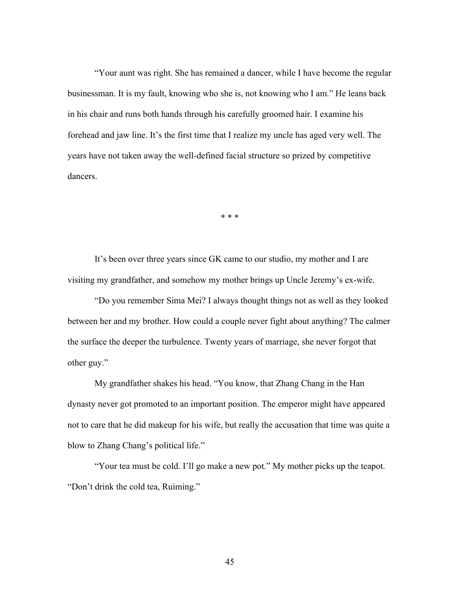"Your aunt was right. She has remained a dancer, while I have become the regular businessman. It is my fault, knowing who she is, not knowing who I am." He leans back in his chair and runs both hands through his carefully groomed hair. I examine his forehead and jaw line. It's the first time that I realize my uncle has aged very well. The years have not taken away the well-defined facial structure so prized by competitive dancers.

\* \* \*

It's been over three years since GK came to our studio, my mother and I are visiting my grandfather, and somehow my mother brings up Uncle Jeremy's ex-wife.

"Do you remember Sima Mei? I always thought things not as well as they looked between her and my brother. How could a couple never fight about anything? The calmer the surface the deeper the turbulence. Twenty years of marriage, she never forgot that other guy."

My grandfather shakes his head. "You know, that Zhang Chang in the Han dynasty never got promoted to an important position. The emperor might have appeared not to care that he did makeup for his wife, but really the accusation that time was quite a blow to Zhang Chang's political life."

"Your tea must be cold. I'll go make a new pot." My mother picks up the teapot. "Don't drink the cold tea, Ruiming."